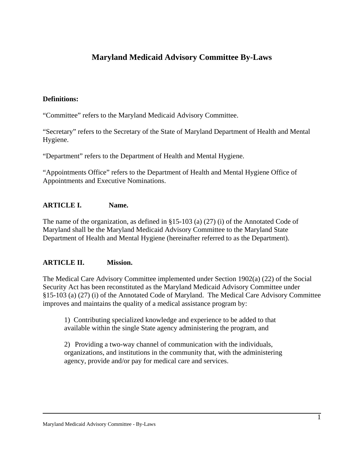# **Maryland Medicaid Advisory Committee By-Laws**

#### **Definitions:**

"Committee" refers to the Maryland Medicaid Advisory Committee.

"Secretary" refers to the Secretary of the State of Maryland Department of Health and Mental Hygiene.

"Department" refers to the Department of Health and Mental Hygiene.

"Appointments Office" refers to the Department of Health and Mental Hygiene Office of Appointments and Executive Nominations.

### **ARTICLE I. Name.**

The name of the organization, as defined in §15-103 (a) (27) (i) of the Annotated Code of Maryland shall be the Maryland Medicaid Advisory Committee to the Maryland State Department of Health and Mental Hygiene (hereinafter referred to as the Department).

### **ARTICLE II. Mission.**

The Medical Care Advisory Committee implemented under Section 1902(a) (22) of the Social Security Act has been reconstituted as the Maryland Medicaid Advisory Committee under §15-103 (a) (27) (i) of the Annotated Code of Maryland. The Medical Care Advisory Committee improves and maintains the quality of a medical assistance program by:

1) Contributing specialized knowledge and experience to be added to that available within the single State agency administering the program, and

2) Providing a two-way channel of communication with the individuals, organizations, and institutions in the community that, with the administering agency, provide and/or pay for medical care and services.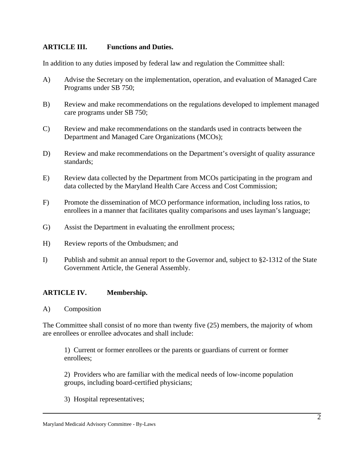### **ARTICLE III. Functions and Duties.**

In addition to any duties imposed by federal law and regulation the Committee shall:

- A) Advise the Secretary on the implementation, operation, and evaluation of Managed Care Programs under SB 750;
- B) Review and make recommendations on the regulations developed to implement managed care programs under SB 750;
- C) Review and make recommendations on the standards used in contracts between the Department and Managed Care Organizations (MCOs);
- D) Review and make recommendations on the Department's oversight of quality assurance standards;
- E) Review data collected by the Department from MCOs participating in the program and data collected by the Maryland Health Care Access and Cost Commission;
- F) Promote the dissemination of MCO performance information, including loss ratios, to enrollees in a manner that facilitates quality comparisons and uses layman's language;
- G) Assist the Department in evaluating the enrollment process;
- H) Review reports of the Ombudsmen; and
- I) Publish and submit an annual report to the Governor and, subject to §2-1312 of the State Government Article, the General Assembly.

# **ARTICLE IV. Membership.**

A) Composition

The Committee shall consist of no more than twenty five (25) members, the majority of whom are enrollees or enrollee advocates and shall include:

1) Current or former enrollees or the parents or guardians of current or former enrollees;

2) Providers who are familiar with the medical needs of low-income population groups, including board-certified physicians;

3) Hospital representatives;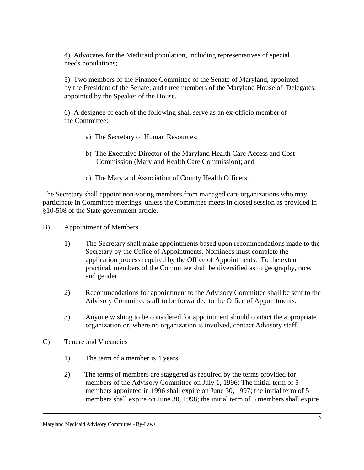4) Advocates for the Medicaid population, including representatives of special needs populations;

5) Two members of the Finance Committee of the Senate of Maryland, appointed by the President of the Senate; and three members of the Maryland House of Delegates, appointed by the Speaker of the House.

6) A designee of each of the following shall serve as an ex-officio member of the Committee:

- a) The Secretary of Human Resources;
- b) The Executive Director of the Maryland Health Care Access and Cost Commission (Maryland Health Care Commission); and
- c) The Maryland Association of County Health Officers.

The Secretary shall appoint non-voting members from managed care organizations who may participate in Committee meetings, unless the Committee meets in closed session as provided in §10-508 of the State government article.

- B) Appointment of Members
	- 1) The Secretary shall make appointments based upon recommendations made to the Secretary by the Office of Appointments. Nominees must complete the application process required by the Office of Appointments. To the extent practical, members of the Committee shall be diversified as to geography, race, and gender.
	- 2) Recommendations for appointment to the Advisory Committee shall be sent to the Advisory Committee staff to be forwarded to the Office of Appointments.
	- 3) Anyone wishing to be considered for appointment should contact the appropriate organization or, where no organization is involved, contact Advisory staff.
- C) Tenure and Vacancies
	- 1) The term of a member is 4 years.
	- 2) The terms of members are staggered as required by the terms provided for members of the Advisory Committee on July 1, 1996: The initial term of 5 members appointed in 1996 shall expire on June 30, 1997; the initial term of 5 members shall expire on June 30, 1998; the initial term of 5 members shall expire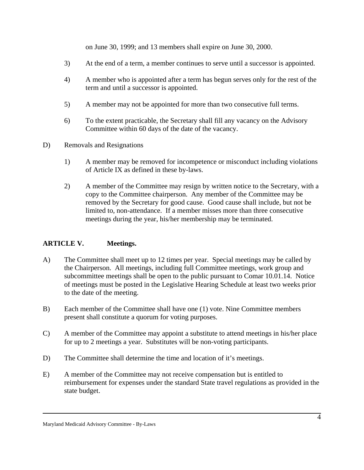on June 30, 1999; and 13 members shall expire on June 30, 2000.

- 3) At the end of a term, a member continues to serve until a successor is appointed.
- 4) A member who is appointed after a term has begun serves only for the rest of the term and until a successor is appointed.
- 5) A member may not be appointed for more than two consecutive full terms.
- 6) To the extent practicable, the Secretary shall fill any vacancy on the Advisory Committee within 60 days of the date of the vacancy.
- D) Removals and Resignations
	- 1) A member may be removed for incompetence or misconduct including violations of Article IX as defined in these by-laws.
	- 2) A member of the Committee may resign by written notice to the Secretary, with a copy to the Committee chairperson. Any member of the Committee may be removed by the Secretary for good cause. Good cause shall include, but not be limited to, non-attendance. If a member misses more than three consecutive meetings during the year, his/her membership may be terminated.

# **ARTICLE V. Meetings.**

- A) The Committee shall meet up to 12 times per year. Special meetings may be called by the Chairperson. All meetings, including full Committee meetings, work group and subcommittee meetings shall be open to the public pursuant to Comar 10.01.14. Notice of meetings must be posted in the Legislative Hearing Schedule at least two weeks prior to the date of the meeting.
- B) Each member of the Committee shall have one (1) vote. Nine Committee members present shall constitute a quorum for voting purposes.
- C) A member of the Committee may appoint a substitute to attend meetings in his/her place for up to 2 meetings a year. Substitutes will be non-voting participants.
- D) The Committee shall determine the time and location of it's meetings.
- E) A member of the Committee may not receive compensation but is entitled to reimbursement for expenses under the standard State travel regulations as provided in the state budget.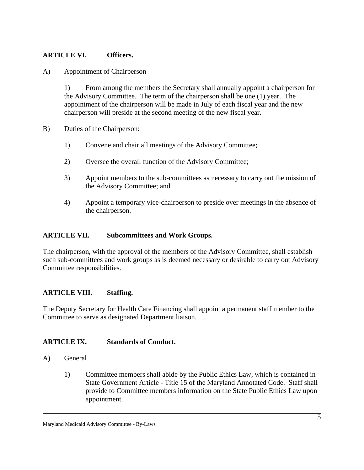### **ARTICLE VI. Officers.**

A) Appointment of Chairperson

1) From among the members the Secretary shall annually appoint a chairperson for the Advisory Committee. The term of the chairperson shall be one (1) year. The appointment of the chairperson will be made in July of each fiscal year and the new chairperson will preside at the second meeting of the new fiscal year.

- B) Duties of the Chairperson:
	- 1) Convene and chair all meetings of the Advisory Committee;
	- 2) Oversee the overall function of the Advisory Committee;
	- 3) Appoint members to the sub-committees as necessary to carry out the mission of the Advisory Committee; and
	- 4) Appoint a temporary vice-chairperson to preside over meetings in the absence of the chairperson.

#### **ARTICLE VII. Subcommittees and Work Groups.**

The chairperson, with the approval of the members of the Advisory Committee, shall establish such sub-committees and work groups as is deemed necessary or desirable to carry out Advisory Committee responsibilities.

### **ARTICLE VIII. Staffing.**

The Deputy Secretary for Health Care Financing shall appoint a permanent staff member to the Committee to serve as designated Department liaison.

### **ARTICLE IX. Standards of Conduct.**

- A) General
	- 1) Committee members shall abide by the Public Ethics Law, which is contained in State Government Article - Title 15 of the Maryland Annotated Code. Staff shall provide to Committee members information on the State Public Ethics Law upon appointment.